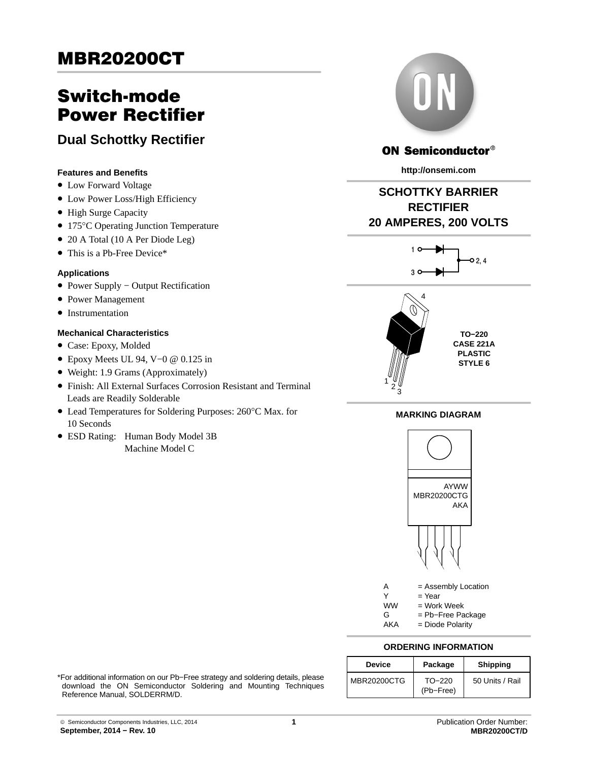# Switch‐mode Power Rectifier

**Dual Schottky Rectifier**

### **Features and Benefits**

- Low Forward Voltage
- Low Power Loss/High Efficiency
- High Surge Capacity
- 175°C Operating Junction Temperature
- 20 A Total (10 A Per Diode Leg)
- This is a Pb-Free Device\*

#### **Applications**

- Power Supply − Output Rectification
- Power Management
- Instrumentation

### **Mechanical Characteristics**

- Case: Epoxy, Molded
- Epoxy Meets UL 94, V−0 @ 0.125 in
- Weight: 1.9 Grams (Approximately)
- Finish: All External Surfaces Corrosion Resistant and Terminal Leads are Readily Solderable
- Lead Temperatures for Soldering Purposes: 260°C Max. for 10 Seconds
- ESD Rating: Human Body Model 3B Machine Model C



## ON Semiconductor®

**http://onsemi.com**

## **SCHOTTKY BARRIER RECTIFIER 20 AMPERES, 200 VOLTS**





### **MARKING DIAGRAM**



A = Assembly Location

 $Y = Year$ 

- $WW = Work Week  
\nG = Pb–Free Pa$ = Pb-Free Package
- AKA = Diode Polarity

# **ORDERING INFORMATION**

| <b>Device</b> | Package               | <b>Shipping</b> |
|---------------|-----------------------|-----------------|
| MBR20200CTG   | $TO-220$<br>(Pb-Free) | 50 Units / Rail |

\*For additional information on our Pb−Free strategy and soldering details, please download the ON Semiconductor Soldering and Mounting Techniques Reference Manual, SOLDERRM/D.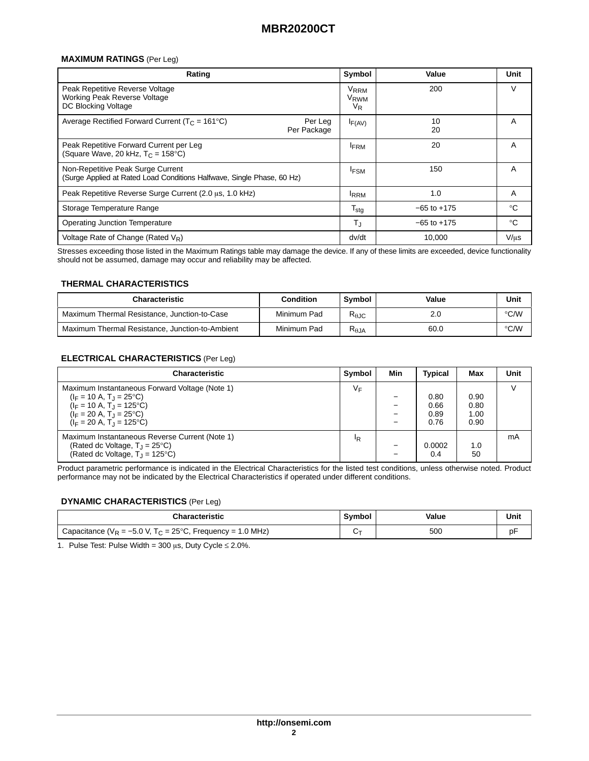#### **MAXIMUM RATINGS** (Per Leg)

| Rating                                                                                                      | Symbol                                     | Value           | Unit        |
|-------------------------------------------------------------------------------------------------------------|--------------------------------------------|-----------------|-------------|
| Peak Repetitive Reverse Voltage<br>Working Peak Reverse Voltage<br>DC Blocking Voltage                      | V <sub>RRM</sub><br>V <sub>RWM</sub><br>VR | 200             | V           |
| Average Rectified Forward Current ( $T_c$ = 161°C)<br>Per Leg<br>Per Package                                | $I_{F(AV)}$                                | 10<br>20        | A           |
| Peak Repetitive Forward Current per Leg<br>(Square Wave, 20 kHz, $T_C = 158^{\circ}C$ )                     | <b>IFRM</b>                                | 20              | A           |
| Non-Repetitive Peak Surge Current<br>(Surge Applied at Rated Load Conditions Halfwave, Single Phase, 60 Hz) | <b>IFSM</b>                                | 150             | A           |
| Peak Repetitive Reverse Surge Current (2.0 µs, 1.0 kHz)                                                     | <sup>I</sup> RRM                           | 1.0             | A           |
| Storage Temperature Range                                                                                   | $T_{\text{stg}}$                           | $-65$ to $+175$ | $^{\circ}C$ |
| <b>Operating Junction Temperature</b>                                                                       | T,                                         | $-65$ to $+175$ | $^{\circ}C$ |
| Voltage Rate of Change (Rated $V_R$ )                                                                       | dv/dt                                      | 10.000          | $V/\mu s$   |

Stresses exceeding those listed in the Maximum Ratings table may damage the device. If any of these limits are exceeded, device functionality should not be assumed, damage may occur and reliability may be affected.

#### **THERMAL CHARACTERISTICS**

| <b>Characteristic</b>                           | <b>Condition</b> | Symbol          | Value | Unit          |
|-------------------------------------------------|------------------|-----------------|-------|---------------|
| Maximum Thermal Resistance, Junction-to-Case    | Minimum Pad      | $R_{\theta$ JC  | 2.0   | $\degree$ C/W |
| Maximum Thermal Resistance, Junction-to-Ambient | Minimum Pad      | $R_{\theta JA}$ | 60.0  | ℃/W           |

#### **ELECTRICAL CHARACTERISTICS** (Per Leg)

| <b>Characteristic</b>                                                                                                                                                                                | Symbol         | Min | <b>Typical</b>               | Max                          | Unit   |
|------------------------------------------------------------------------------------------------------------------------------------------------------------------------------------------------------|----------------|-----|------------------------------|------------------------------|--------|
| Maximum Instantaneous Forward Voltage (Note 1)<br>$(I_F = 10 A, T_J = 25^{\circ}C)$<br>$(I_F = 10 A, T_1 = 125^{\circ}C)$<br>$(I_F = 20 A, T_J = 25^{\circ}C)$<br>$(I_F = 20 A, T_1 = 125^{\circ}C)$ | VF             |     | 0.80<br>0.66<br>0.89<br>0.76 | 0.90<br>0.80<br>1.00<br>0.90 | $\vee$ |
| Maximum Instantaneous Reverse Current (Note 1)<br>(Rated dc Voltage, $T_1 = 25^{\circ}C$ )<br>(Rated dc Voltage, $T_J = 125^{\circ}C$ )                                                              | <sup>I</sup> R |     | 0.0002<br>0.4                | 1.0<br>50                    | mA     |

Product parametric performance is indicated in the Electrical Characteristics for the listed test conditions, unless otherwise noted. Product performance may not be indicated by the Electrical Characteristics if operated under different conditions.

#### **DYNAMIC CHARACTERISTICS** (Per Leg)

| <b>Characteristic</b>                                                     | Symbol | Value | Unit |
|---------------------------------------------------------------------------|--------|-------|------|
| Capacitance ( $V_R = -5.0$ V, T <sub>C</sub> = 25°C, Frequency = 1.0 MHz) |        | 500   |      |

1. Pulse Test: Pulse Width = 300  $\mu$ s, Duty Cycle  $\leq$  2.0%.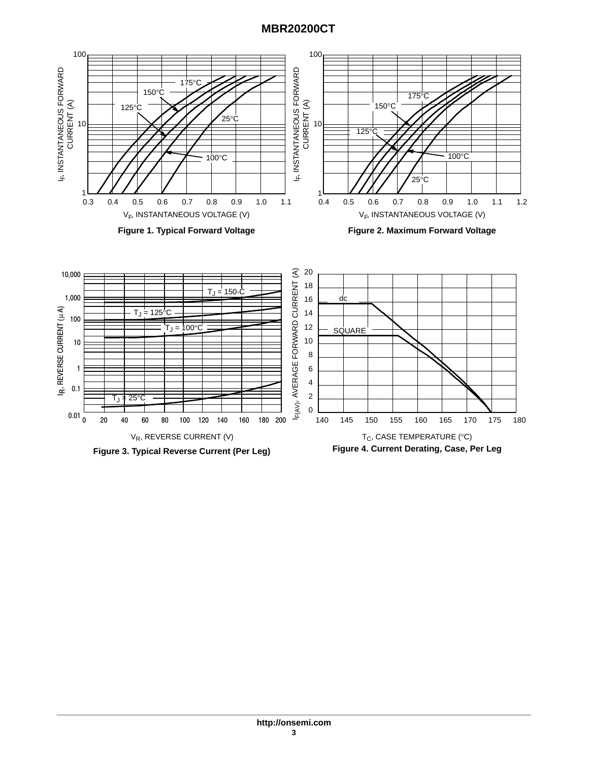

**Figure 3. Typical Reverse Current (Per Leg)**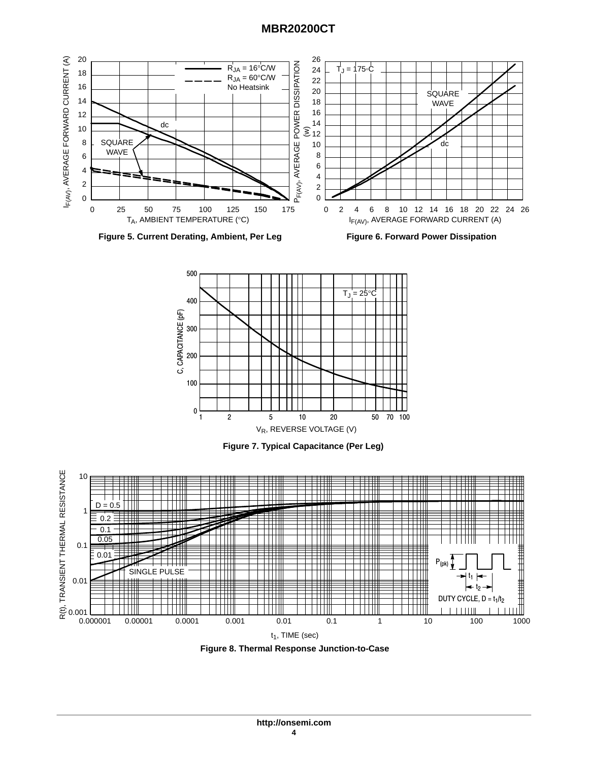



**Figure 7. Typical Capacitance (Per Leg)**